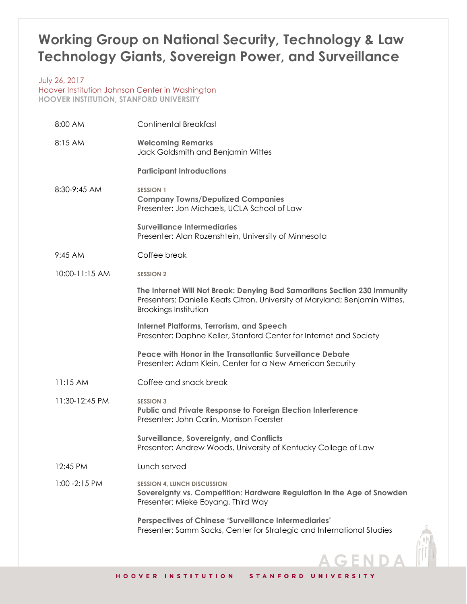## **Working Group on National Security, Technology & Law Technology Giants, Sovereign Power, and Surveillance**

July 26, 2017 Hoover Institution Johnson Center in Washington **HOOVER INSTITUTION, STANFORD UNIVERSITY**

| 8:00 AM        | <b>Continental Breakfast</b>                                                                                                                                                            |
|----------------|-----------------------------------------------------------------------------------------------------------------------------------------------------------------------------------------|
| 8:15 AM        | <b>Welcoming Remarks</b><br>Jack Goldsmith and Benjamin Wittes                                                                                                                          |
|                | <b>Participant Introductions</b>                                                                                                                                                        |
| 8:30-9:45 AM   | <b>SESSION 1</b><br><b>Company Towns/Deputized Companies</b><br>Presenter: Jon Michaels, UCLA School of Law                                                                             |
|                | <b>Surveillance Intermediaries</b><br>Presenter: Alan Rozenshtein, University of Minnesota                                                                                              |
| 9:45 AM        | Coffee break                                                                                                                                                                            |
| 10:00-11:15 AM | <b>SESSION 2</b>                                                                                                                                                                        |
|                | The Internet Will Not Break: Denying Bad Samaritans Section 230 Immunity<br>Presenters: Danielle Keats Citron, University of Maryland; Benjamin Wittes,<br><b>Brookings Institution</b> |
|                | <b>Internet Platforms, Terrorism, and Speech</b><br>Presenter: Daphne Keller, Stanford Center for Internet and Society                                                                  |
|                | Peace with Honor in the Transatlantic Surveillance Debate<br>Presenter: Adam Klein, Center for a New American Security                                                                  |
| 11:15 AM       | Coffee and snack break                                                                                                                                                                  |
| 11:30-12:45 PM | <b>SESSION 3</b><br><b>Public and Private Response to Foreign Election Interference</b><br>Presenter: John Carlin, Morrison Foerster                                                    |
|                | <b>Surveillance, Sovereignty, and Conflicts</b><br>Presenter: Andrew Woods, University of Kentucky College of Law                                                                       |
| 12:45 PM       | Lunch served                                                                                                                                                                            |
| 1:00 - 2:15 PM | <b>SESSION 4, LUNCH DISCUSSION</b><br>Sovereignty vs. Competition: Hardware Regulation in the Age of Snowden<br>Presenter: Mieke Eoyang, Third Way                                      |
|                | <b>Perspectives of Chinese 'Surveillance Intermediaries'</b><br>Presenter: Samm Sacks, Center for Strategic and International Studies                                                   |
|                |                                                                                                                                                                                         |